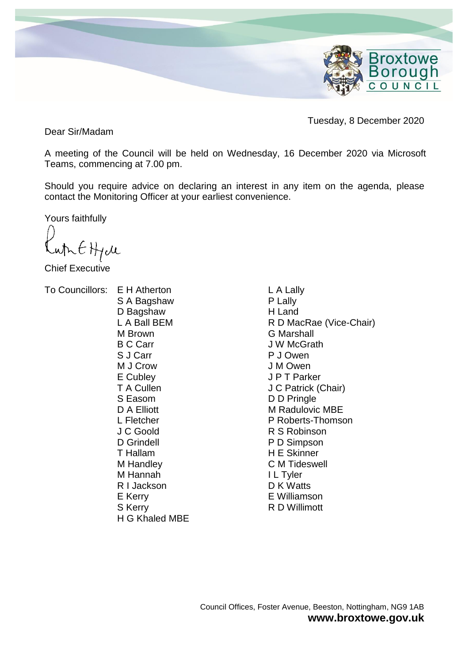

Tuesday, 8 December 2020

Dear Sir/Madam

A meeting of the Council will be held on Wednesday, 16 December 2020 via Microsoft Teams, commencing at 7.00 pm.

Should you require advice on declaring an interest in any item on the agenda, please contact the Monitoring Officer at your earliest convenience.

Yours faithfully

ALEHIM

Chief Executive

To Councillors: E H Atherton

S A Bagshaw D Bagshaw L A Ball BEM M Brown B C Carr S J Carr M J Crow E Cubley T A Cullen S Easom D A Elliott L Fletcher J C Goold D Grindell T Hallam M Handley M Hannah R I Jackson E Kerry S Kerry H G Khaled MBE

L A Lally P Lally H Land R D MacRae (Vice-Chair) G Marshall J W McGrath P J Owen J M Owen J P T Parker J C Patrick (Chair) D D Pringle M Radulovic MBE P Roberts-Thomson R S Robinson P D Simpson H E Skinner C M Tideswell I L Tyler D K Watts E Williamson R D Willimott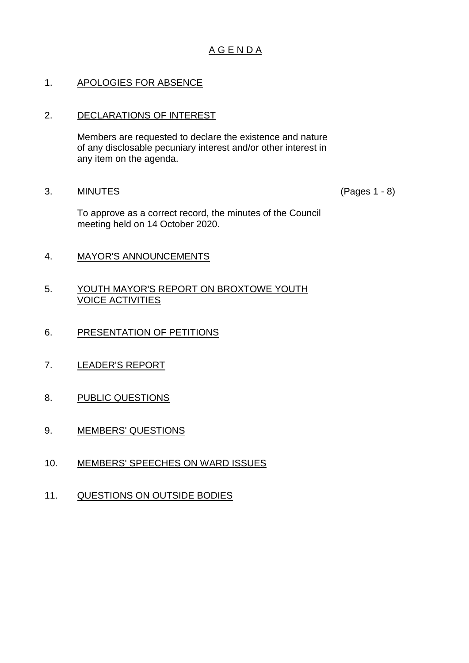# A G E N D A

# 1. APOLOGIES FOR ABSENCE

## 2. DECLARATIONS OF INTEREST

Members are requested to declare the existence and nature of any disclosable pecuniary interest and/or other interest in any item on the agenda.

3. MINUTES (Pages 1 - 8)

To approve as a correct record, the minutes of the Council meeting held on 14 October 2020.

- 4. MAYOR'S ANNOUNCEMENTS
- 5. YOUTH MAYOR'S REPORT ON BROXTOWE YOUTH VOICE ACTIVITIES
- 6. PRESENTATION OF PETITIONS
- 7. LEADER'S REPORT
- 8. PUBLIC QUESTIONS
- 9. MEMBERS' QUESTIONS
- 10. MEMBERS' SPEECHES ON WARD ISSUES
- 11. QUESTIONS ON OUTSIDE BODIES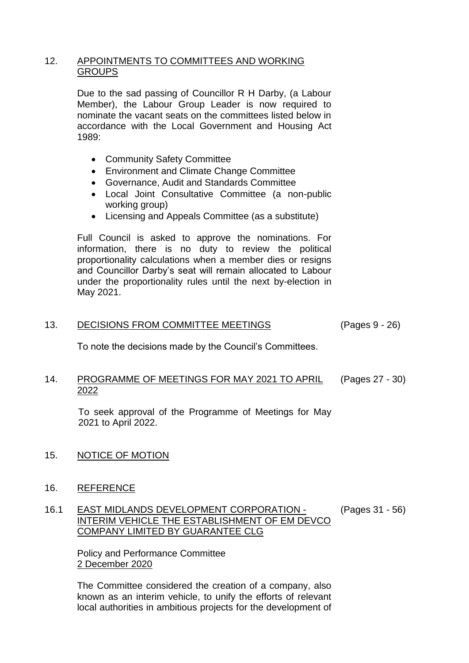## 12. APPOINTMENTS TO COMMITTEES AND WORKING **GROUPS**

Due to the sad passing of Councillor R H Darby, (a Labour Member), the Labour Group Leader is now required to nominate the vacant seats on the committees listed below in accordance with the Local Government and Housing Act 1989:

- Community Safety Committee
- Environment and Climate Change Committee
- Governance, Audit and Standards Committee
- Local Joint Consultative Committee (a non-public working group)
- Licensing and Appeals Committee (as a substitute)

Full Council is asked to approve the nominations. For information, there is no duty to review the political proportionality calculations when a member dies or resigns and Councillor Darby's seat will remain allocated to Labour under the proportionality rules until the next by-election in May 2021.

### 13. DECISIONS FROM COMMITTEE MEETINGS (Pages 9 - 26)

To note the decisions made by the Council's Committees.

#### 14. PROGRAMME OF MEETINGS FOR MAY 2021 TO APRIL 2022 (Pages 27 - 30)

To seek approval of the Programme of Meetings for May 2021 to April 2022.

# 15. NOTICE OF MOTION

### 16. REFERENCE

#### 16.1 EAST MIDLANDS DEVELOPMENT CORPORATION - INTERIM VEHICLE THE ESTABLISHMENT OF EM DEVCO COMPANY LIMITED BY GUARANTEE CLG (Pages 31 - 56)

Policy and Performance Committee 2 December 2020

The Committee considered the creation of a company, also known as an interim vehicle, to unify the efforts of relevant local authorities in ambitious projects for the development of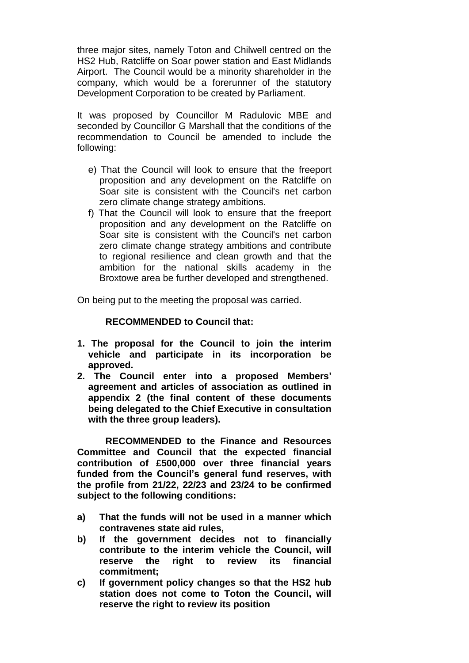three major sites, namely Toton and Chilwell centred on the HS2 Hub, Ratcliffe on Soar power station and East Midlands Airport. The Council would be a minority shareholder in the company, which would be a forerunner of the statutory Development Corporation to be created by Parliament.

It was proposed by Councillor M Radulovic MBE and seconded by Councillor G Marshall that the conditions of the recommendation to Council be amended to include the following:

- e) That the Council will look to ensure that the freeport proposition and any development on the Ratcliffe on Soar site is consistent with the Council's net carbon zero climate change strategy ambitions.
- f) That the Council will look to ensure that the freeport proposition and any development on the Ratcliffe on Soar site is consistent with the Council's net carbon zero climate change strategy ambitions and contribute to regional resilience and clean growth and that the ambition for the national skills academy in the Broxtowe area be further developed and strengthened.

On being put to the meeting the proposal was carried.

### **RECOMMENDED to Council that:**

- **1. The proposal for the Council to join the interim vehicle and participate in its incorporation be approved.**
- **2. The Council enter into a proposed Members' agreement and articles of association as outlined in appendix 2 (the final content of these documents being delegated to the Chief Executive in consultation with the three group leaders).**

**RECOMMENDED to the Finance and Resources Committee and Council that the expected financial contribution of £500,000 over three financial years funded from the Council's general fund reserves, with the profile from 21/22, 22/23 and 23/24 to be confirmed subject to the following conditions:** 

- **a) That the funds will not be used in a manner which contravenes state aid rules,**
- **b) If the government decides not to financially contribute to the interim vehicle the Council, will reserve the right to review its financial commitment;**
- **c) If government policy changes so that the HS2 hub station does not come to Toton the Council, will reserve the right to review its position**